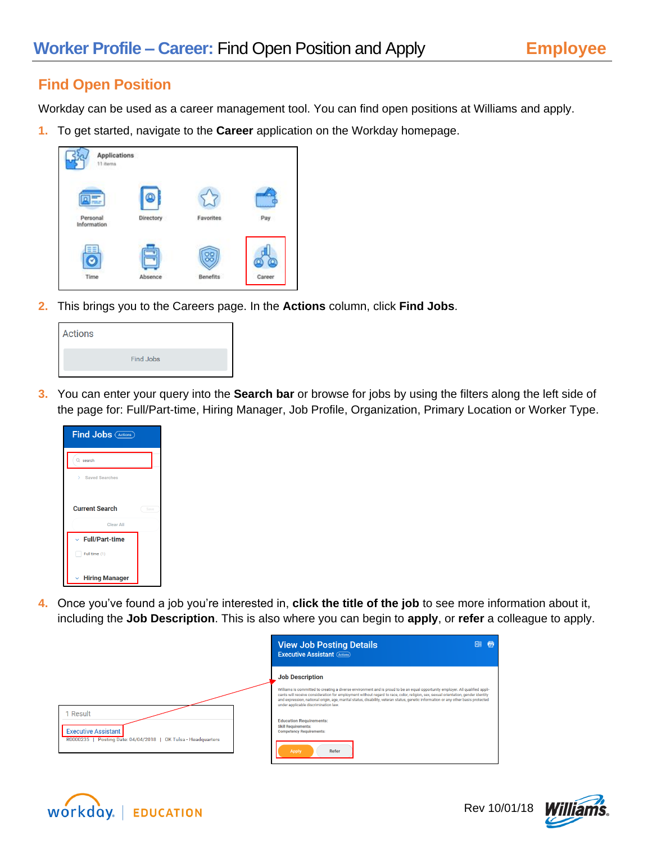## **Find Open Position**

Workday can be used as a career management tool. You can find open positions at Williams and apply.

**1.** To get started, navigate to the **Career** application on the Workday homepage.



**2.** This brings you to the Careers page. In the **Actions** column, click **Find Jobs**.

| Actions |                  |  |
|---------|------------------|--|
|         | <b>Find Jobs</b> |  |
|         |                  |  |

**3.** You can enter your query into the **Search bar** or browse for jobs by using the filters along the left side of the page for: Full/Part-time, Hiring Manager, Job Profile, Organization, Primary Location or Worker Type.

| <b>Find Jobs (Actions)</b>            |      |  |
|---------------------------------------|------|--|
| $Q$ search                            |      |  |
| <b>Saved Searches</b><br>У.           |      |  |
| <b>Current Search</b>                 | Save |  |
| Clear All                             |      |  |
| $\vee$ Full/Part-time                 |      |  |
| Full time (1)                         |      |  |
| <b>Hiring Manager</b><br>$\checkmark$ |      |  |

**4.** Once you've found a job you're interested in, **click the title of the job** to see more information about it, including the **Job Description**. This is also where you can begin to **apply**, or **refer** a colleague to apply.

|                                                                                                       | <b>View Job Posting Details</b><br>帚<br>困<br><b>Executive Assistant (Actions)</b>                                                                                                                                                                                                                                                                                                                                                                                                                                                                                                                       |
|-------------------------------------------------------------------------------------------------------|---------------------------------------------------------------------------------------------------------------------------------------------------------------------------------------------------------------------------------------------------------------------------------------------------------------------------------------------------------------------------------------------------------------------------------------------------------------------------------------------------------------------------------------------------------------------------------------------------------|
| Result<br><b>Executive Assistant</b><br>R0000235   Posting Date: 04/04/2018   OK Tulsa - Headquarters | <b>Job Description</b><br>Williams is committed to creating a diverse environment and is proud to be an equal opportunity employer. All qualified appli-<br>cants will receive consideration for employment without regard to race, color, religion, sex, sexual orientation, gender identity<br>and expression, national origin, age, marital status, disability, veteran status, genetic information or any other basis protected<br>under applicable discrimination law.<br><b>Education Requirements:</b><br><b>Skill Requirements:</b><br><b>Competency Requirements:</b><br><b>Apply</b><br>Refer |